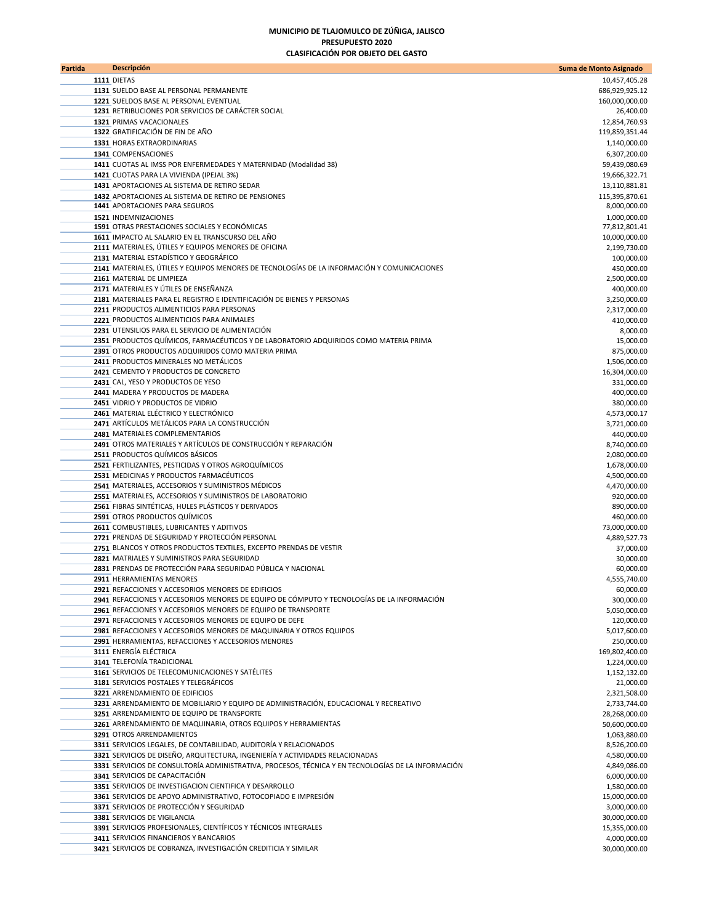## **MUNICIPIO DE TLAJOMULCO DE ZÚÑIGA, JALISCO PRESUPUESTO 2020 CLASIFICACIÓN POR OBJETO DEL GASTO**

| Partida | <b>Descripción</b>                                                                                                                                          | Suma de Monto Asignado          |
|---------|-------------------------------------------------------------------------------------------------------------------------------------------------------------|---------------------------------|
|         | 1111 DIETAS                                                                                                                                                 | 10,457,405.28                   |
|         | 1131 SUELDO BASE AL PERSONAL PERMANENTE                                                                                                                     | 686,929,925.12                  |
|         | 1221 SUELDOS BASE AL PERSONAL EVENTUAL                                                                                                                      | 160,000,000.00                  |
|         | 1231 RETRIBUCIONES POR SERVICIOS DE CARÁCTER SOCIAL                                                                                                         | 26,400.00                       |
|         | 1321 PRIMAS VACACIONALES<br>1322 GRATIFICACIÓN DE FIN DE AÑO                                                                                                | 12,854,760.93<br>119,859,351.44 |
|         | 1331 HORAS EXTRAORDINARIAS                                                                                                                                  | 1,140,000.00                    |
|         | 1341 COMPENSACIONES                                                                                                                                         | 6,307,200.00                    |
|         | 1411 CUOTAS AL IMSS POR ENFERMEDADES Y MATERNIDAD (Modalidad 38)                                                                                            | 59,439,080.69                   |
|         | 1421 CUOTAS PARA LA VIVIENDA (IPEJAL 3%)                                                                                                                    | 19,666,322.71                   |
|         | 1431 APORTACIONES AL SISTEMA DE RETIRO SEDAR                                                                                                                | 13,110,881.81                   |
|         | 1432 APORTACIONES AL SISTEMA DE RETIRO DE PENSIONES                                                                                                         | 115,395,870.61                  |
|         | 1441 APORTACIONES PARA SEGUROS                                                                                                                              | 8,000,000.00                    |
|         | 1521 INDEMNIZACIONES<br>1591 OTRAS PRESTACIONES SOCIALES Y ECONÓMICAS                                                                                       | 1,000,000.00<br>77,812,801.41   |
|         | 1611 IMPACTO AL SALARIO EN EL TRANSCURSO DEL AÑO                                                                                                            | 10,000,000.00                   |
|         | 2111 MATERIALES, ÚTILES Y EQUIPOS MENORES DE OFICINA                                                                                                        | 2,199,730.00                    |
|         | 2131 MATERIAL ESTADÍSTICO Y GEOGRÁFICO                                                                                                                      | 100,000.00                      |
|         | 2141 MATERIALES, ÚTILES Y EQUIPOS MENORES DE TECNOLOGÍAS DE LA INFORMACIÓN Y COMUNICACIONES                                                                 | 450,000.00                      |
|         | 2161 MATERIAL DE LIMPIEZA                                                                                                                                   | 2,500,000.00                    |
|         | 2171 MATERIALES Y ÚTILES DE ENSEÑANZA<br>2181 MATERIALES PARA EL REGISTRO E IDENTIFICACIÓN DE BIENES Y PERSONAS                                             | 400,000.00<br>3,250,000.00      |
|         | 2211 PRODUCTOS ALIMENTICIOS PARA PERSONAS                                                                                                                   | 2,317,000.00                    |
|         | 2221 PRODUCTOS ALIMENTICIOS PARA ANIMALES                                                                                                                   | 410,000.00                      |
|         | 2231 UTENSILIOS PARA EL SERVICIO DE ALIMENTACIÓN                                                                                                            | 8,000.00                        |
|         | 2351 PRODUCTOS QUÍMICOS, FARMACÉUTICOS Y DE LABORATORIO ADQUIRIDOS COMO MATERIA PRIMA                                                                       | 15,000.00                       |
|         | 2391 OTROS PRODUCTOS ADQUIRIDOS COMO MATERIA PRIMA                                                                                                          | 875,000.00                      |
|         | 2411 PRODUCTOS MINERALES NO METÁLICOS<br>2421 CEMENTO Y PRODUCTOS DE CONCRETO                                                                               | 1,506,000.00                    |
|         | 2431 CAL, YESO Y PRODUCTOS DE YESO                                                                                                                          | 16,304,000.00<br>331,000.00     |
|         | 2441 MADERA Y PRODUCTOS DE MADERA                                                                                                                           | 400,000.00                      |
|         | 2451 VIDRIO Y PRODUCTOS DE VIDRIO                                                                                                                           | 380,000.00                      |
|         | 2461 MATERIAL ELÉCTRICO Y ELECTRÓNICO                                                                                                                       | 4,573,000.17                    |
|         | 2471 ARTÍCULOS METÁLICOS PARA LA CONSTRUCCIÓN                                                                                                               | 3,721,000.00                    |
|         | 2481 MATERIALES COMPLEMENTARIOS                                                                                                                             | 440,000.00                      |
|         | 2491 OTROS MATERIALES Y ARTÍCULOS DE CONSTRUCCIÓN Y REPARACIÓN<br>2511 PRODUCTOS QUÍMICOS BÁSICOS                                                           | 8,740,000.00                    |
|         | 2521 FERTILIZANTES, PESTICIDAS Y OTROS AGROQUÍMICOS                                                                                                         | 2,080,000.00<br>1,678,000.00    |
|         | 2531 MEDICINAS Y PRODUCTOS FARMACÉUTICOS                                                                                                                    | 4,500,000.00                    |
|         | 2541 MATERIALES, ACCESORIOS Y SUMINISTROS MÉDICOS                                                                                                           | 4,470,000.00                    |
|         | 2551 MATERIALES, ACCESORIOS Y SUMINISTROS DE LABORATORIO                                                                                                    | 920,000.00                      |
|         | 2561 FIBRAS SINTÉTICAS, HULES PLÁSTICOS Y DERIVADOS                                                                                                         | 890,000.00                      |
|         | 2591 OTROS PRODUCTOS QUIMICOS                                                                                                                               | 460,000.00                      |
|         | 2611 COMBUSTIBLES, LUBRICANTES Y ADITIVOS<br>2721 PRENDAS DE SEGURIDAD Y PROTECCIÓN PERSONAL                                                                | 73,000,000.00<br>4,889,527.73   |
|         | 2751 BLANCOS Y OTROS PRODUCTOS TEXTILES, EXCEPTO PRENDAS DE VESTIR                                                                                          | 37,000.00                       |
|         | 2821 MATRIALES Y SUMINISTROS PARA SEGURIDAD                                                                                                                 | 30,000.00                       |
|         | 2831 PRENDAS DE PROTECCIÓN PARA SEGURIDAD PÚBLICA Y NACIONAL                                                                                                | 60,000.00                       |
|         | 2911 HERRAMIENTAS MENORES                                                                                                                                   | 4,555,740.00                    |
|         | 2921 REFACCIONES Y ACCESORIOS MENORES DE EDIFICIOS                                                                                                          | 60,000.00                       |
|         | 2941 REFACCIONES Y ACCESORIOS MENORES DE EQUIPO DE CÓMPUTO Y TECNOLOGÍAS DE LA INFORMACIÓN<br>2961 REFACCIONES Y ACCESORIOS MENORES DE EQUIPO DE TRANSPORTE | 300,000.00<br>5,050,000.00      |
|         | 2971 REFACCIONES Y ACCESORIOS MENORES DE EQUIPO DE DEFE                                                                                                     | 120,000.00                      |
|         | 2981 REFACCIONES Y ACCESORIOS MENORES DE MAQUINARIA Y OTROS EQUIPOS                                                                                         | 5,017,600.00                    |
|         | 2991 HERRAMIENTAS, REFACCIONES Y ACCESORIOS MENORES                                                                                                         | 250,000.00                      |
|         | 3111 ENERGÍA ELÉCTRICA                                                                                                                                      | 169,802,400.00                  |
|         | 3141 TELEFONÍA TRADICIONAL                                                                                                                                  | 1,224,000.00                    |
|         | 3161 SERVICIOS DE TELECOMUNICACIONES Y SATÉLITES                                                                                                            | 1,152,132.00                    |
|         | 3181 SERVICIOS POSTALES Y TELEGRÁFICOS<br>3221 ARRENDAMIENTO DE EDIFICIOS                                                                                   | 21,000.00<br>2,321,508.00       |
|         | 3231 ARRENDAMIENTO DE MOBILIARIO Y EQUIPO DE ADMINISTRACIÓN, EDUCACIONAL Y RECREATIVO                                                                       | 2,733,744.00                    |
|         | 3251 ARRENDAMIENTO DE EQUIPO DE TRANSPORTE                                                                                                                  | 28,268,000.00                   |
|         | 3261 ARRENDAMIENTO DE MAQUINARIA, OTROS EQUIPOS Y HERRAMIENTAS                                                                                              | 50,600,000.00                   |
|         | 3291 OTROS ARRENDAMIENTOS                                                                                                                                   | 1,063,880.00                    |
|         | 3311 SERVICIOS LEGALES, DE CONTABILIDAD, AUDITORÍA Y RELACIONADOS                                                                                           | 8,526,200.00                    |
|         | 3321 SERVICIOS DE DISEÑO, ARQUITECTURA, INGENIERÍA Y ACTIVIDADES RELACIONADAS                                                                               | 4,580,000.00                    |
|         | 3331 SERVICIOS DE CONSULTORÍA ADMINISTRATIVA, PROCESOS, TÉCNICA Y EN TECNOLOGÍAS DE LA INFORMACIÓN<br>3341 SERVICIOS DE CAPACITACIÓN                        | 4,849,086.00<br>6,000,000.00    |
|         | 3351 SERVICIOS DE INVESTIGACION CIENTIFICA Y DESARROLLO                                                                                                     | 1,580,000.00                    |
|         | 3361 SERVICIOS DE APOYO ADMINISTRATIVO, FOTOCOPIADO E IMPRESIÓN                                                                                             | 15,000,000.00                   |
|         | 3371 SERVICIOS DE PROTECCIÓN Y SEGURIDAD                                                                                                                    | 3,000,000.00                    |
|         | 3381 SERVICIOS DE VIGILANCIA                                                                                                                                | 30,000,000.00                   |
|         | 3391 SERVICIOS PROFESIONALES, CIENTÍFICOS Y TÉCNICOS INTEGRALES                                                                                             | 15,355,000.00                   |
|         | 3411 SERVICIOS FINANCIEROS Y BANCARIOS<br>3421 SERVICIOS DE COBRANZA, INVESTIGACIÓN CREDITICIA Y SIMILAR                                                    | 4,000,000.00                    |
|         |                                                                                                                                                             | 30,000,000.00                   |